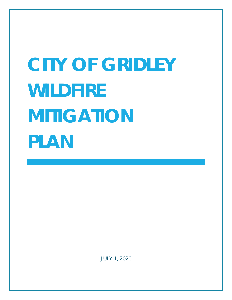# **CITY OF GRIDLEY WILDFIRE MITIGATION PLAN**

*JULY 1, 2020*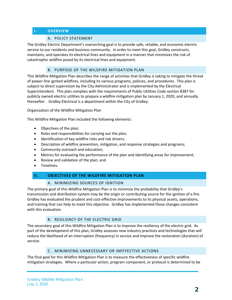# **I. OVERVIEW**

#### A. POLICY STATEMENT

The Gridley Electric Department's overarching goal is to provide safe, reliable, and economic electric service to our residents and business community. In order to meet this goal, Gridley constructs, maintains, and operates its electrical lines and equipment in a manner that minimizes the risk of catastrophic wildfire posed by its electrical lines and equipment.

#### B. PURPOSE OF THE WILDFIRE MITIGATION PLAN

This Wildfire Mitigation Plan describes the range of activities that Gridley is taking to mitigate the threat of power-line ignited wildfires, including its various programs, policies, and procedures. This plan is subject to direct supervision by the City Administrator and is implemented by the Electrical Superintendent. This plan complies with the requirements of Public Utilities Code section 8387 for publicly owned electric utilities to prepare a wildfire mitigation plan by January 1, 2020, and annually thereafter. Gridley Electrical is a department within the City of Gridley.

#### Organization of the Wildfire Mitigation Plan

This Wildfire Mitigation Plan included the following elements:

- Objectives of the plan;
- Roles and responsibilities for carrying out the plan;
- Identification of key wildfire risks and risk drivers;
- Description of wildfire prevention, mitigation, and response strategies and programs;
- Community outreach and education;
- Metrics for evaluating the performance of the plan and identifying areas for improvement;
- Review and validation of the plan; and
- Timelines.

#### **II. OBJECTIVES OF THE WILDFIRE MITIGATION PLAN**

#### A. MINIMIZING SOURCES OF IGNITION

The primary goal of this Wildfire Mitigation Plan is to minimize the probability that Gridley's transmission and distribution system may be the origin or contributing source for the ignition of a fire. Gridley has evaluated the prudent and cost-effective improvements to its physical assets, operations, and training that can help to meet this objective. Gridley has implemented those changes consistent with this evaluation.

#### B. RESILIENCY OF THE ELECTRIC GRID

The secondary goal of this Wildfire Mitigation Plan is to improve the resiliency of the electric grid. As part of the development of this plan, Gridley assesses new industry practices and technologies that will reduce the likelihood of an interruption (frequency) in service and improve the restoration (duration) of service.

#### C. MINIMIZING UNNECESSARY OR INEFFECTIVE ACTIONS

The final goal for this Wildfire Mitigation Plan is to measure the effectiveness of specific wildfire mitigation strategies. Where a particular action, program component, or protocol is determined to be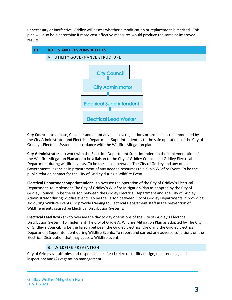unnecessary or ineffective, Gridley will assess whether a modification or replacement is merited. This plan will also help determine if more cost-effective measures would produce the same or improved results.



**City Council** - to debate, Consider and adopt any policies, regulations or ordinances recommended by the City Administrator and Electrical Department Superintendent as to the safe operations of the City of Gridley's Electrical System in accordance with the Wildfire Mitigation plan

**City Administrator -** to work with the Electrical Department Superintendent in the implementation of the Wildfire Mitigation Plan and to be a liaison to the City of Gridley Council and Gridley Electrical Department during wildfire events. To be the liaison between The City of Gridley and any outside Governmental agencies in procurement of any needed resources to aid in a Wildfire Event. To be the public relation contact for the City of Gridley during a Wildfire Event.

**Electrical Department Superintendent** - to oversee the operation of the City of Gridley's Electrical Department. to implement The City of Gridley's Wildfire Mitigation Plan as adopted by the City of Gridley Council. To be the liaison between the Gridley Electrical Department and The City of Gridley Administrator during wildfire events. To be the liaison between City of Gridley Departments in providing aid during Wildfire Events. To provide training to Electrical Department staff in the prevention of Wildfire events caused be Electrical Distribution Systems.

**Electrical Lead Worker** - to oversee the day to day operations of the City of Gridley's Electrical Distribution System. To implement The City of Gridley's Wildfire Mitigation Plan as adopted by The City of Gridley's Council. To be the liaison between the Gridley Electrical Crew and the Gridley Electrical Department Superintendent during Wildfire Events. To report and correct any adverse conditions on the Electrical Distribution that may cause a Wildfire event.

# B. WILDFIRE PREVENTION

City of Gridley's staff roles and responsibilities for (1) electric facility design, maintenance, and inspection; and (2) vegetation management.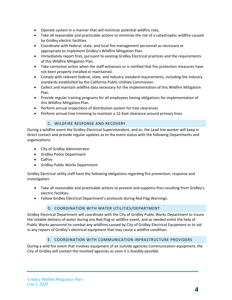- Operate system in a manner that will minimize potential wildfire risks.
- Take all reasonable and practicable actions to minimize the risk of a catastrophic wildfire caused by Gridley electric facilities.
- Coordinate with federal, state, and local fire management personnel as necessary or appropriate to implement Gridley's Wildfire Mitigation Plan.
- Immediately report fires, pursuant to existing Gridley Electrical practices and the requirements of this Wildfire Mitigation Plan.
- Take corrective action when the staff witnesses or is notified that fire protection measures have not been properly installed or maintained.
- Comply with relevant federal, state, and industry standard requirements, including the industry standards established by the California Public Utilities Commission.
- Collect and maintain wildfire data necessary for the implementation of this Wildfire Mitigation Plan.
- Provide regular training programs for all employees having obligations for implementation of this Wildfire Mitigation Plan.
- Perform annual inspections of distribution system for tree clearances
- Perform annual tree trimming to maintain a 12-foot clearance around primary lines.

# C. WILDFIRE RESPONSE AND RECOVERY

During a wildfire event the Gridley Electrical Superintendent, and or, the Lead line worker will keep in direct contact and provide regular updates as to the event status with the following Departments and organizations:

- City of Gridley Administrator
- Gridley Police Department
- CalFire
- Gridley Public Works Department

Gridley Electrical utility staff have the following obligations regarding fire prevention, response and investigation:

- Take all reasonable and practicable actions to prevent and suppress fires resulting from Gridley's electric facilities.
- Follow Gridley Electrical Department's protocols during Red Flag Warnings.

# D. COORDINATION WITH WATER UTILITIES/DEPARTMENT

Gridley Electrical Department will coordinate with the City of Gridley Public Works Department to insure the reliable delivery of water during any Red Flag or wildfire event, and as needed enlist the help of Public Works personnel to combat any wildfires caused by City of Gridley Electrical Equipment or to aid in any repairs of Gridley's electrical equipment that may cause a wildfire condition.

# E. COORDINATION WITH COMMUNICATION INFRASTRUCTURE PROVIDERS

During a wild fire event that involves equipment of an outside agencies Communication equipment, the City of Gridley will contact the involved agencies as soon it is feasibly possible.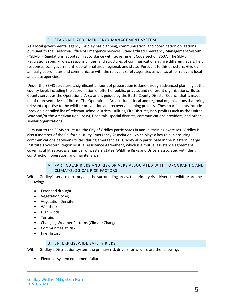# F. STANDARDIZED EMERGENCY MANAGEMENT SYSTEM

As a local governmental agency, Gridley has planning, communication, and coordination obligations pursuant to the California Office of Emergency Services' Standardized Emergency Management System ("SEMS") Regulations, adopted in accordance with Government Code section 8607. The SEMS Regulations specify roles, responsibilities, and structures of communications at five different levels: field response, local government, operational area, regional, and state. Pursuant to this structure, Gridley annually coordinates and communicate with the relevant safety agencies as well as other relevant local and state agencies.

Under the SEMS structure, a significant amount of preparation is done through advanced planning at the county level, including the coordination of effort of public, private, and nonprofit organizations. Butte County serves as the Operational Area and is guided by the Butte County Disaster Council that is made up of representatives of Butte. The Operational Area includes local and regional organizations that bring relevant expertise to the wildfire prevention and recovery planning process. These participants include [provide a detailed list of relevant school districts, utilities, Fire Districts, non-profits (such as the United Way and/or the American Red Cross), Hospitals, special districts, communications providers, and other similar organizations].

Pursuant to the SEMS structure, the City of Gridley participates in annual training exercises. Gridley is also a member of the California Utility Emergency Association, which plays a key role in ensuring communications between utilities during emergencies. Gridley also participate in the Western Energy Institute's Western Region Mutual Assistance Agreement, which is a mutual assistance agreement covering utilities across a number of western states. Wildfire Risks and Drivers associated with design, construction, operation, and maintenance.

# A. PARTICULAR RISKS AND RISK DRIVERS ASSOCIATED WITH TOPOGRAPHIC AND CLIMATOLOGICAL RISK FACTORS

Within Gridley's service territory and the surrounding areas, the primary risk drivers for wildfire are the following:

- Extended drought;
- Vegetation type;
- Vegetation Density;
- Weather;
- High winds;
- Terrain;
- Changing Weather Patterns (Climate Change)
- Communities at Risk
- **Fire History**

#### B. ENTERPRISEWIDE SAFETY RISKS

Within Gridley's Distribution system the primary risk drivers for wildfire are the following:

• Electrical system equipment failure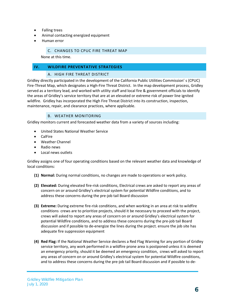- Falling trees
- Animal contacting energized equipment
- Human error

#### C. CHANGES TO CPUC FIRE THREAT MAP

None at this time.

#### **IV. WILDFIRE PREVENTATIVE STRATEGIES**

#### A. HIGH FIRE THREAT DISTRICT

Gridley directly participated in the development of the California Public Utilities Commission' s (CPUC) Fire-Threat Map, which designates a High-Fire Threat District. In the map development process, Gridley served as a territory lead, and worked with utility staff and local fire & government officials to identify the areas of Gridley's service territory that are at an elevated or extreme risk of power line ignited wildfire. Gridley has incorporated the High Fire Threat District into its construction, inspection, maintenance, repair, and clearance practices, where applicable.

#### B. WEATHER MONITORING

Gridley monitors current and forecasted weather data from a variety of sources including:

- United States National Weather Service
- CalFire
- Weather Channel
- Radio news
- Local news outlets

Gridley assigns one of four operating conditions based on the relevant weather data and knowledge of local conditions:

- **(1) Normal:** During normal conditions, no changes are made to operations or work policy.
- **(2) Elevated:** During elevated fire-risk conditions, Electrical crews are asked to report any areas of concern on or around Gridley's electrical system for potential Wildfire conditions, and to address these concerns during the pre-job tail Board discussion
- **(3) Extreme:** During extreme fire-risk conditions, and when working in an area at risk to wildfire conditions crews are to prioritize projects, should it be necessary to proceed with the project, crews will asked to report any areas of concern on or around Gridley's electrical system for potential Wildfire conditions, and to address these concerns during the pre-job tail Board discussion and if possible to de-energize the lines during the project. ensure the job site has adequate fire suppression equipment
- **(4) Red Flag:** If the National Weather Service declares a Red Flag Warning for any portion of Gridley service territory, any work performed in a wildfire prone area is postponed unless it is deemed an emergency priority, should it be deemed an emergency condition, crews will asked to report any areas of concern on or around Gridley's electrical system for potential Wildfire conditions, and to address these concerns during the pre-job tail Board discussion and if possible to de-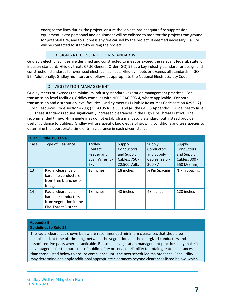energize the lines during the project. ensure the job site has adequate fire suppression equipment, extra personnel and equipment will be enlisted to monitor the project from ground for potential fire, and to suppress any fire caused by the project. If deemed necessary, CalFire will be contacted to stand-by during the project.

# C. DESIGN AND CONSTRUCTION STANDARDS

Gridley's electric facilities are designed and constructed to meet or exceed the relevant federal, state, or industry standard. Gridley treats CPUC General Order (GO) 95 as a key industry standard for design and construction standards for overhead electrical facilities. Gridley meets or exceeds all standards in GO 95. Additionally, Gridley monitors and follows as appropriate the National Electric Safety Code.

#### D. VEGETATION MANAGEMENT

Gridley meets or exceeds the minimum industry standard vegetation management practices. For transmission-level facilities, Gridley complies with NERC FAC-003-4, where applicable. For both transmission and distribution level facilities, Gridley meets: (1) Public Resources Code section 4292; (2) Public Resources Code section 4293; (3) GO 95 Rule 35; and (4) the GO 95 Appendix E Guidelines to Rule 35. These standards require significantly increased clearances in the High Fire Threat District. The recommended time-of-trim guidelines do not establish a mandatory standard, but instead provide useful guidance to utilities. Gridley will use specific knowledge of growing conditions and tree species to determine the appropriate time of trim clearance in each circumstance.

| GO 95, Rule 35, Table 1 |                                                                                                      |                                                                   |                                                                     |                                                                |                                                                    |  |  |
|-------------------------|------------------------------------------------------------------------------------------------------|-------------------------------------------------------------------|---------------------------------------------------------------------|----------------------------------------------------------------|--------------------------------------------------------------------|--|--|
| Case                    | <b>Type of Clearance</b>                                                                             | <b>Trolley</b><br>Contact,<br>Feeder and<br>Span Wires, 0-<br>5kv | Supply<br>Conductors<br>and Supply<br>Cables, 750 -<br>22,500 Volts | Supply<br>Conductors<br>and Supply<br>Cables, 22.5 -<br>300 kV | Supply<br>Conductors<br>and Supply<br>Cables, 300 -<br>550 kV (mm) |  |  |
| 13                      | Radial clearance of<br>bare line conductors<br>from tree branches or<br>foliage                      | 18 inches                                                         | 18 inches                                                           | 1⁄4 Pin Spacing                                                | 1/ <sub>2</sub> Pin Spacing                                        |  |  |
| 14                      | Radial clearance of<br>bare line conductors<br>from vegetation in the<br><b>Fire-Threat District</b> | 18 inches                                                         | 48 inches                                                           | 48 inches                                                      | 120 inches                                                         |  |  |

# **Appendix E**

#### **Guidelines to Rule 35**

The radial clearances shown below are recommended minimum clearancesthat should be established, at time of trimming, between the vegetation and the energized conductors and associated live parts where practicable. Reasonable vegetation management practices may make it advantageous for the purposes of public safety or service reliability to obtain greater clearances than those listed below to ensure compliance until the next scheduled maintenance. Each utility may determine and apply additional appropriate clearances beyond clearances listed below, which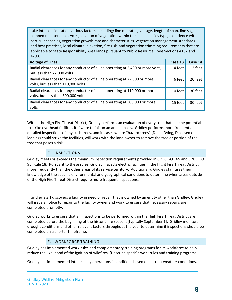take into consideration various factors, including: line operating voltage, length of span, line sag, planned maintenance cycles, location of vegetation within the span, species type, experience with particular species, vegetation growth rate and characteristics, vegetation management standards and best practices, local climate, elevation, fire risk, and vegetation trimming requirements that are applicable to State Responsibility Area lands pursuant to Public Resource Code Sections 4102 and 4293.

| <b>Voltage of Lines</b>                                                                                          | Case 13 | Case 14 |
|------------------------------------------------------------------------------------------------------------------|---------|---------|
| Radial clearances for any conductor of a line operating at 2,400 or more volts,<br>but less than 72,000 volts    | 4 feet  | 12 feet |
| Radial clearances for any conductor of a line operating at 72,000 or more<br>volts, but less than 110,000 volts  | 6 feet  | 20 feet |
| Radial clearances for any conductor of a line operating at 110,000 or more<br>volts, but less than 300,000 volts | 10 feet | 30 feet |
| Radial clearances for any conductor of a line operating at 300,000 or more<br>volts                              | 15 feet | 30 feet |

Within the High Fire Threat District, Gridley performs an evaluation of every tree that has the potential to strike overhead facilities it if were to fail on an annual basis. Gridley performs more frequent and detailed inspections of any such trees, and in cases where "hazard trees" (Dead, Dying, Diseased or leaning) could strike the facilities, will work with the land owner to remove the tree or portion of the tree that poses a risk.

# E. INSPECTIONS

Gridley meets or exceeds the minimum inspection requirements provided in CPUC GO 165 and CPUC GO 95, Rule 18. Pursuant to these rules, Gridley inspects electric facilities in the Hight Fire Threat District more frequently than the other areas of its service territory. Additionally, Gridley staff uses their knowledge of the specific environmental and geographical conditions to determine when areas outside of the High Fire Threat District require more frequent inspections.

If Gridley staff discovers a facility in need of repair that is owned by an entity other than Gridley, Gridley will issue a notice to repair to the facility owner and work to ensure that necessary repairs are completed promptly.

Gridley works to ensure that all inspections to be performed within the High Fire Threat District are completed before the beginning of the historic fire season, [typically September 1]. Gridley monitors drought conditions and other relevant factors throughout the year to determine if inspections should be completed on a shorter timeframe.

#### F. WORKFORCE TRAINING

Gridley has implemented work rules and complementary training programs for its workforce to help reduce the likelihood of the ignition of wildfires. [Describe specific work rules and training programs.]

Gridley has implemented into its daily operations 4 conditions based on current weather conditions.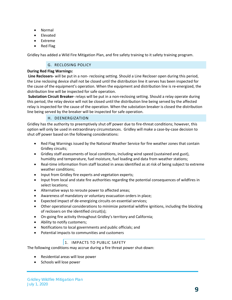- Normal
- Elevated
- Extreme
- Red Flag

Gridley has added a Wild Fire Mitigation Plan, and fire safety training to it safety training program.

#### G. RECLOSING POLICY

#### **During Red Flag Warnings:**

**Line Reclosers-** will be put in a non- reclosing setting. Should a Line Recloser open during this period, the Line reclosing device shall not be closed until the distribution line it serves has been inspected for the cause of the equipment's operation. When the equipment and distribution line is re-energized, the distribution line will be inspected for safe operation.

**Substation Circuit Breaker-** relays will be put in a non-reclosing setting. Should a relay operate during this period, the relay device will not be closed until the distribution line being served by the affected relay is inspected for the cause of the operation. When the substation breaker is closed the distribution line being served by the breaker will be inspected for safe operation.

#### H. DEENERGIZATION

Gridley has the authority to preemptively shut off power due to fire-threat conditions; however, this option will only be used in extraordinary circumstances. Gridley will make a case-by-case decision to shut off power based on the following considerations:

- Red Flag Warnings issued by the National Weather Service for fire weather zones that contain Gridley circuits;
- Gridley staff assessments of local conditions, including wind speed (sustained and gust), humidity and temperature, fuel moisture, fuel loading and data from weather stations;
- Real-time information from staff located in areas identified as at risk of being subject to extreme weather conditions;
- Input from Gridley fire experts and vegetation experts;
- Input from local and state fire authorities regarding the potential consequences of wildfires in select locations;
- Alternative ways to reroute power to affected areas;
- Awareness of mandatory or voluntary evacuation orders in place;
- Expected impact of de-energizing circuits on essential services;
- Other operational considerations to minimize potential wildfire ignitions, including the blocking of reclosers on the identified circuit(s);
- On-going fire activity throughout Gridley's territory and California;
- Ability to notify customers;
- Notifications to local governments and public officials; and
- Potential impacts to communities and customers

# 1. IMPACTS TO PUBLIC SAFETY

The following conditions may accrue during a fire threat power shut-down:

- Residential areas will lose power
- Schools will lose power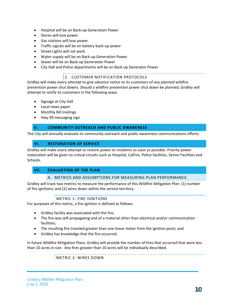- Hospital will be on Back-up Generation Power
- Stores will lose power
- Gas stations will lose power
- Traffic signals will be on battery back-up power
- Street Lights will not work
- Water supply will be on Back-up Generation Power
- Sewer will be on Back-up Generation Power
- City Hall and Police departments will be on Back-up Generator Power

#### 2. CUSTOMER NOTIFICATION PROTOCOLS

Gridley will make every attempt to give advance notice to its customers of any planned wildfire prevention power shut downs. Should a wildfire prevention power shut down be planned, Gridley will attempt to notify its customers in the following ways:

- Signage at City Hall
- Local news paper
- Monthly Bill mailings
- Hwy 99 messaging sign

#### **V. COMMUNITY OUTREACH AND PUBLIC AWARENESS**

The City will annually evaluate its community outreach and public awareness communications efforts.

# **VI. RESTORATION OF SERVICE**

Gridley will make every attempt to restore power to residents as soon as possible. Priority power restoration will be given to critical circuits such as Hospital, CalFire, Police facilities, Senior Facilities and Schools.

#### **VII. EVALUATING OF THE PLAN**

#### A. METRICS AND ASSUMPTIONS FOR MEASURING PLAN PERFORMANCE

Gridley will track two metrics to measure the performance of this Wildfire Mitigation Plan: (1) number of fire ignitions; and (2) wires down within the service territory.

# METRIC 1: FIRE IGNITIONS

For purposes of this metric, a fire ignition is defined as follows:

- Gridley facility was associated with the fire;
- The fire was self-propagating and of a material other than electrical and/or communication facilities;
- The resulting fire traveled greater than one linear meter from the ignition point; and
- Gridley has knowledge that the fire occurred.

In future Wildfire Mitigation Plans, Gridley will provide the number of fires that occurred that were less than 10 acres in size. Any fires greater than 10 acres will be individually described.

METRIC 2: WIRES DOWN